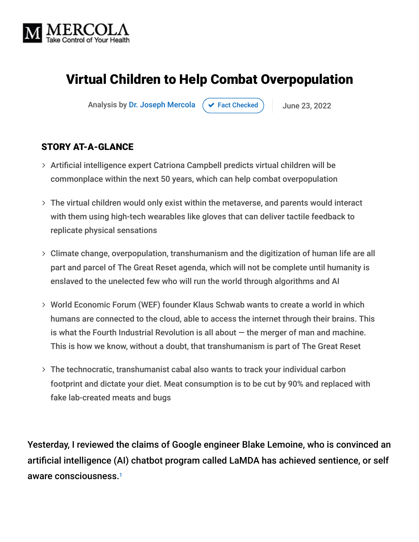

# Virtual Children to Help Combat Overpopulation

Analysis by [Dr. Joseph Mercola](https://www.mercola.com/forms/background.htm)  $\left( \right. \times$  [Fact Checked](javascript:void(0))  $\left. \right)$  June 23, 2022

### STORY AT-A-GLANCE

- Artificial intelligence expert Catriona Campbell predicts virtual children will be commonplace within the next 50 years, which can help combat overpopulation
- The virtual children would only exist within the metaverse, and parents would interact with them using high-tech wearables like gloves that can deliver tactile feedback to replicate physical sensations
- Climate change, overpopulation, transhumanism and the digitization of human life are all part and parcel of The Great Reset agenda, which will not be complete until humanity is enslaved to the unelected few who will run the world through algorithms and AI
- World Economic Forum (WEF) founder Klaus Schwab wants to create a world in which humans are connected to the cloud, able to access the internet through their brains. This is what the Fourth Industrial Revolution is all about  $-$  the merger of man and machine. This is how we know, without a doubt, that transhumanism is part of The Great Reset
- The technocratic, transhumanist cabal also wants to track your individual carbon footprint and dictate your diet. Meat consumption is to be cut by 90% and replaced with fake lab-created meats and bugs

Yesterday, I reviewed the claims of Google engineer Blake Lemoine, who is convinced an artificial intelligence (AI) chatbot program called LaMDA has achieved sentience, or self aware consciousness. 1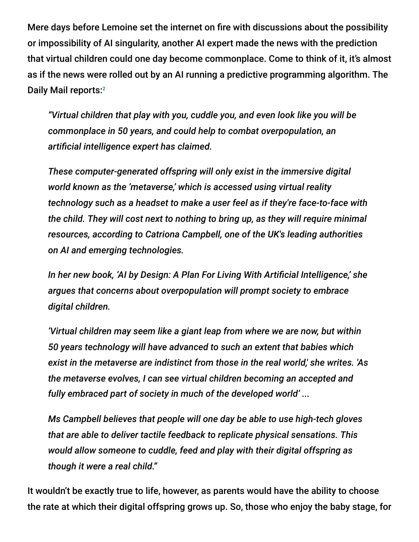Mere days before Lemoine set the internet on fire with discussions about the possibility or impossibility of AI singularity, another AI expert made the news with the prediction that virtual children could one day become commonplace. Come to think of it, it's almost as if the news were rolled out by an AI running a predictive programming algorithm. The Daily Mail reports:<sup>2</sup>

*"Virtual children that play with you, cuddle you, and even look like you will be commonplace in 50 years, and could help to combat overpopulation, an artificial intelligence expert has claimed.*

*These computer-generated offspring will only exist in the immersive digital world known as the 'metaverse,' which is accessed using virtual reality technology such as a headset to make a user feel as if they're face-to-face with the child. They will cost next to nothing to bring up, as they will require minimal resources, according to Catriona Campbell, one of the UK's leading authorities on AI and emerging technologies.*

*In her new book, 'AI by Design: A Plan For Living With Artificial Intelligence,' she argues that concerns about overpopulation will prompt society to embrace digital children.*

*'Virtual children may seem like a giant leap from where we are now, but within 50 years technology will have advanced to such an extent that babies which exist in the metaverse are indistinct from those in the real world,' she writes. 'As the metaverse evolves, I can see virtual children becoming an accepted and fully embraced part of society in much of the developed world' ...*

*Ms Campbell believes that people will one day be able to use high-tech gloves that are able to deliver tactile feedback to replicate physical sensations. This would allow someone to cuddle, feed and play with their digital offspring as though it were a real child."*

It wouldn't be exactly true to life, however, as parents would have the ability to choose the rate at which their digital offspring grows up. So, those who enjoy the baby stage, for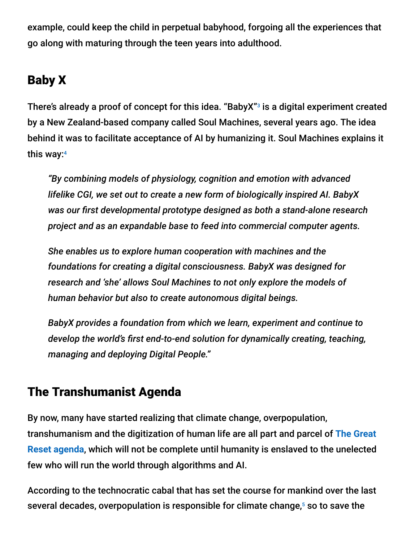example, could keep the child in perpetual babyhood, forgoing all the experiences that go along with maturing through the teen years into adulthood.

# Baby X

There's already a proof of concept for this idea. "BabyX"<sup>3</sup> is a digital experiment created by a New Zealand-based company called Soul Machines, several years ago. The idea behind it was to facilitate acceptance of AI by humanizing it. Soul Machines explains it this way: 4

*"By combining models of physiology, cognition and emotion with advanced lifelike CGI, we set out to create a new form of biologically inspired AI. BabyX was our first developmental prototype designed as both a stand-alone research project and as an expandable base to feed into commercial computer agents.*

*She enables us to explore human cooperation with machines and the foundations for creating a digital consciousness. BabyX was designed for research and 'she' allows Soul Machines to not only explore the models of human behavior but also to create autonomous digital beings.*

*BabyX provides a foundation from which we learn, experiment and continue to develop the world's first end-to-end solution for dynamically creating, teaching, managing and deploying Digital People."*

# The Transhumanist Agenda

By now, many have started realizing that climate change, overpopulation, [transhumanism and the digitization of human life are all part and parcel of](https://takecontrol.substack.com/p/stakeholder-capitalism?s=r) **The Great Reset agenda**, which will not be complete until humanity is enslaved to the unelected few who will run the world through algorithms and AI.

According to the technocratic cabal that has set the course for mankind over the last several decades, overpopulation is responsible for climate change,<sup>5</sup> so to save the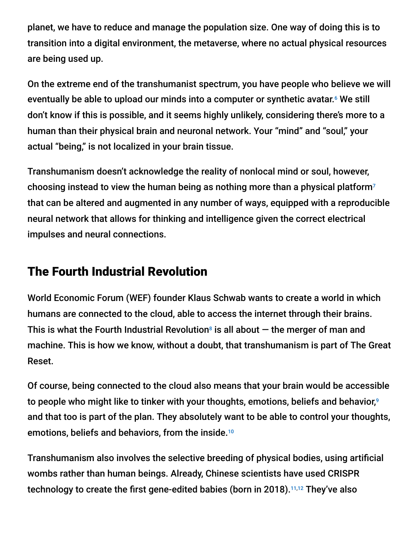planet, we have to reduce and manage the population size. One way of doing this is to transition into a digital environment, the metaverse, where no actual physical resources are being used up.

On the extreme end of the transhumanist spectrum, you have people who believe we will eventually be able to upload our minds into a computer or synthetic avatar.<sup>6</sup> We still don't know if this is possible, and it seems highly unlikely, considering there's more to a human than their physical brain and neuronal network. Your "mind" and "soul," your actual "being," is not localized in your brain tissue.

Transhumanism doesn't acknowledge the reality of nonlocal mind or soul, however, choosing instead to view the human being as nothing more than a physical platform<sup>7</sup> that can be altered and augmented in any number of ways, equipped with a reproducible neural network that allows for thinking and intelligence given the correct electrical impulses and neural connections.

## The Fourth Industrial Revolution

World Economic Forum (WEF) founder Klaus Schwab wants to create a world in which humans are connected to the cloud, able to access the internet through their brains. This is what the Fourth Industrial Revolution<sup>8</sup> is all about  $-$  the merger of man and machine. This is how we know, without a doubt, that transhumanism is part of The Great Reset.

Of course, being connected to the cloud also means that your brain would be accessible to people who might like to tinker with your thoughts, emotions, beliefs and behavior, 9 and that too is part of the plan. They absolutely want to be able to control your thoughts, emotions, beliefs and behaviors, from the inside. 10

Transhumanism also involves the selective breeding of physical bodies, using artificial wombs rather than human beings. Already, Chinese scientists have used CRISPR technology to create the first gene-edited babies (born in 2018).<sup>11,12</sup> They've also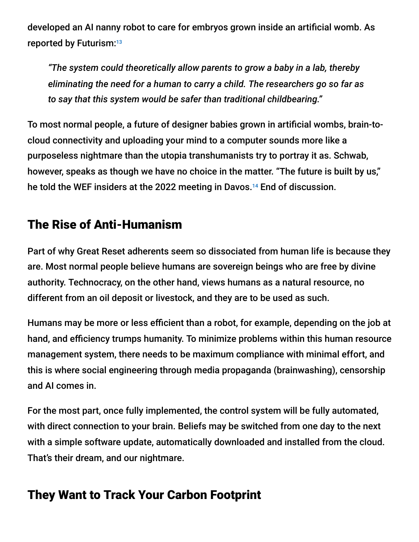developed an AI nanny robot to care for embryos grown inside an artificial womb. As reported by Futurism: 13

*"The system could theoretically allow parents to grow a baby in a lab, thereby eliminating the need for a human to carry a child. The researchers go so far as to say that this system would be safer than traditional childbearing."*

To most normal people, a future of designer babies grown in artificial wombs, brain-tocloud connectivity and uploading your mind to a computer sounds more like a purposeless nightmare than the utopia transhumanists try to portray it as. Schwab, however, speaks as though we have no choice in the matter. "The future is built by us," he told the WEF insiders at the 2022 meeting in Davos.<sup>14</sup> End of discussion.

## The Rise of Anti-Humanism

Part of why Great Reset adherents seem so dissociated from human life is because they are. Most normal people believe humans are sovereign beings who are free by divine authority. Technocracy, on the other hand, views humans as a natural resource, no different from an oil deposit or livestock, and they are to be used as such.

Humans may be more or less efficient than a robot, for example, depending on the job at hand, and efficiency trumps humanity. To minimize problems within this human resource management system, there needs to be maximum compliance with minimal effort, and this is where social engineering through media propaganda (brainwashing), censorship and AI comes in.

For the most part, once fully implemented, the control system will be fully automated, with direct connection to your brain. Beliefs may be switched from one day to the next with a simple software update, automatically downloaded and installed from the cloud. That's their dream, and our nightmare.

# They Want to Track Your Carbon Footprint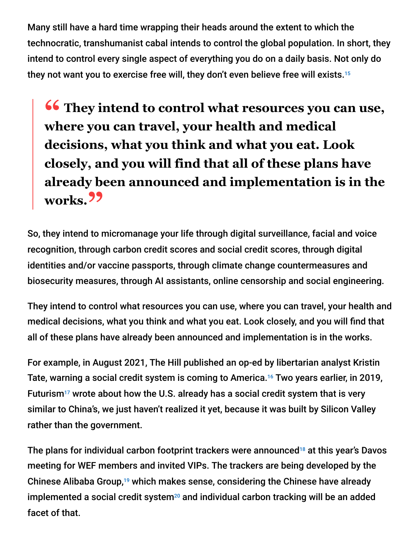Many still have a hard time wrapping their heads around the extent to which the technocratic, transhumanist cabal intends to control the global population. In short, they intend to control every single aspect of everything you do on a daily basis. Not only do they not want you to exercise free will, they don't even believe free will exists. 15

**<sup>66</sup>** They intend to control what resources you can use,<br>where you can travel your health and medical **where you can travel, your health and medical decisions, what you think and what you eat. Look closely, and you will find that all of these plans have already been announced and implementation is in the works."**

So, they intend to micromanage your life through digital surveillance, facial and voice recognition, through carbon credit scores and social credit scores, through digital identities and/or vaccine passports, through climate change countermeasures and biosecurity measures, through AI assistants, online censorship and social engineering.

They intend to control what resources you can use, where you can travel, your health and medical decisions, what you think and what you eat. Look closely, and you will find that all of these plans have already been announced and implementation is in the works.

For example, in August 2021, The Hill published an op-ed by libertarian analyst Kristin Tate, warning a social credit system is coming to America.<sup>16</sup> Two years earlier, in 2019, Futurism<sup>17</sup> wrote about how the U.S. already has a social credit system that is very similar to China's, we just haven't realized it yet, because it was built by Silicon Valley rather than the government.

The plans for individual carbon footprint trackers were announced<sup>18</sup> at this year's Davos meeting for WEF members and invited VIPs. The trackers are being developed by the Chinese Alibaba Group,<sup>19</sup> which makes sense, considering the Chinese have already implemented a social credit system<sup>20</sup> and individual carbon tracking will be an added facet of that.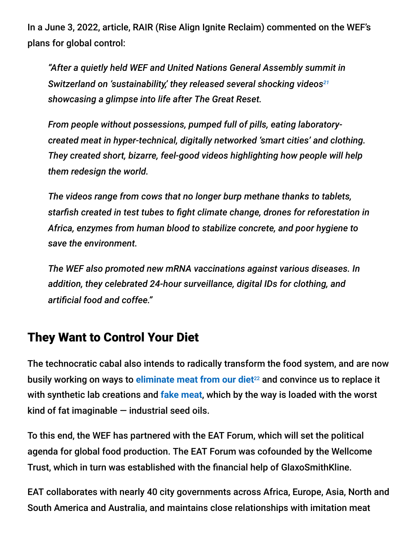In a June 3, 2022, article, RAIR (Rise Align Ignite Reclaim) commented on the WEF's plans for global control:

*"After a quietly held WEF and United Nations General Assembly summit in Switzerland on 'sustainability,' they released several shocking videos 21 showcasing a glimpse into life after The Great Reset.*

*From people without possessions, pumped full of pills, eating laboratorycreated meat in hyper-technical, digitally networked 'smart cities' and clothing. They created short, bizarre, feel-good videos highlighting how people will help them redesign the world.*

*The videos range from cows that no longer burp methane thanks to tablets, starfish created in test tubes to fight climate change, drones for reforestation in Africa, enzymes from human blood to stabilize concrete, and poor hygiene to save the environment.*

*The WEF also promoted new mRNA vaccinations against various diseases. In addition, they celebrated 24-hour surveillance, digital IDs for clothing, and artificial food and coffee."*

### They Want to Control Your Diet

The technocratic cabal also intends to radically transform the food system, and are now busily working on ways to [eliminate meat from our diet](https://takecontrol.substack.com/p/synthetic-fake-meat?s=r)<sup>22</sup> and convince us to replace it with synthetic lab creations and **[fake meat](https://takecontrol.substack.com/p/impossible-foods-holds-14-patents?s=r)**, which by the way is loaded with the worst kind of fat imaginable  $-$  industrial seed oils.

To this end, the WEF has partnered with the EAT Forum, which will set the political agenda for global food production. The EAT Forum was cofounded by the Wellcome Trust, which in turn was established with the financial help of GlaxoSmithKline.

EAT collaborates with nearly 40 city governments across Africa, Europe, Asia, North and South America and Australia, and maintains close relationships with imitation meat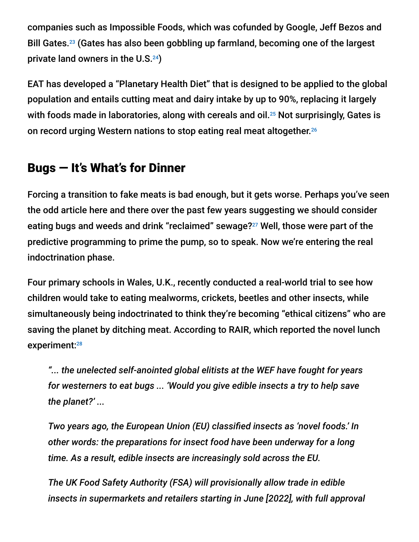companies such as Impossible Foods, which was cofunded by Google, Jeff Bezos and Bill Gates.<sup>23</sup> (Gates has also been gobbling up farmland, becoming one of the largest private land owners in the U.S. $24$ )

EAT has developed a "Planetary Health Diet" that is designed to be applied to the global population and entails cutting meat and dairy intake by up to 90%, replacing it largely with foods made in laboratories, along with cereals and oil. $^{25}$  Not surprisingly, Gates is on record urging Western nations to stop eating real meat altogether. 26

## Bugs — It's What's for Dinner

Forcing a transition to fake meats is bad enough, but it gets worse. Perhaps you've seen the odd article here and there over the past few years suggesting we should consider eating bugs and weeds and drink "reclaimed" sewage?<sup>27</sup> Well, those were part of the predictive programming to prime the pump, so to speak. Now we're entering the real indoctrination phase.

Four primary schools in Wales, U.K., recently conducted a real-world trial to see how children would take to eating mealworms, crickets, beetles and other insects, while simultaneously being indoctrinated to think they're becoming "ethical citizens" who are saving the planet by ditching meat. According to RAIR, which reported the novel lunch experiment:<sup>28</sup>

*"... the unelected self-anointed global elitists at the WEF have fought for years for westerners to eat bugs ... 'Would you give edible insects a try to help save the planet?' ...*

*Two years ago, the European Union (EU) classified insects as 'novel foods.' In other words: the preparations for insect food have been underway for a long time. As a result, edible insects are increasingly sold across the EU.*

*The UK Food Safety Authority (FSA) will provisionally allow trade in edible insects in supermarkets and retailers starting in June [2022], with full approval*